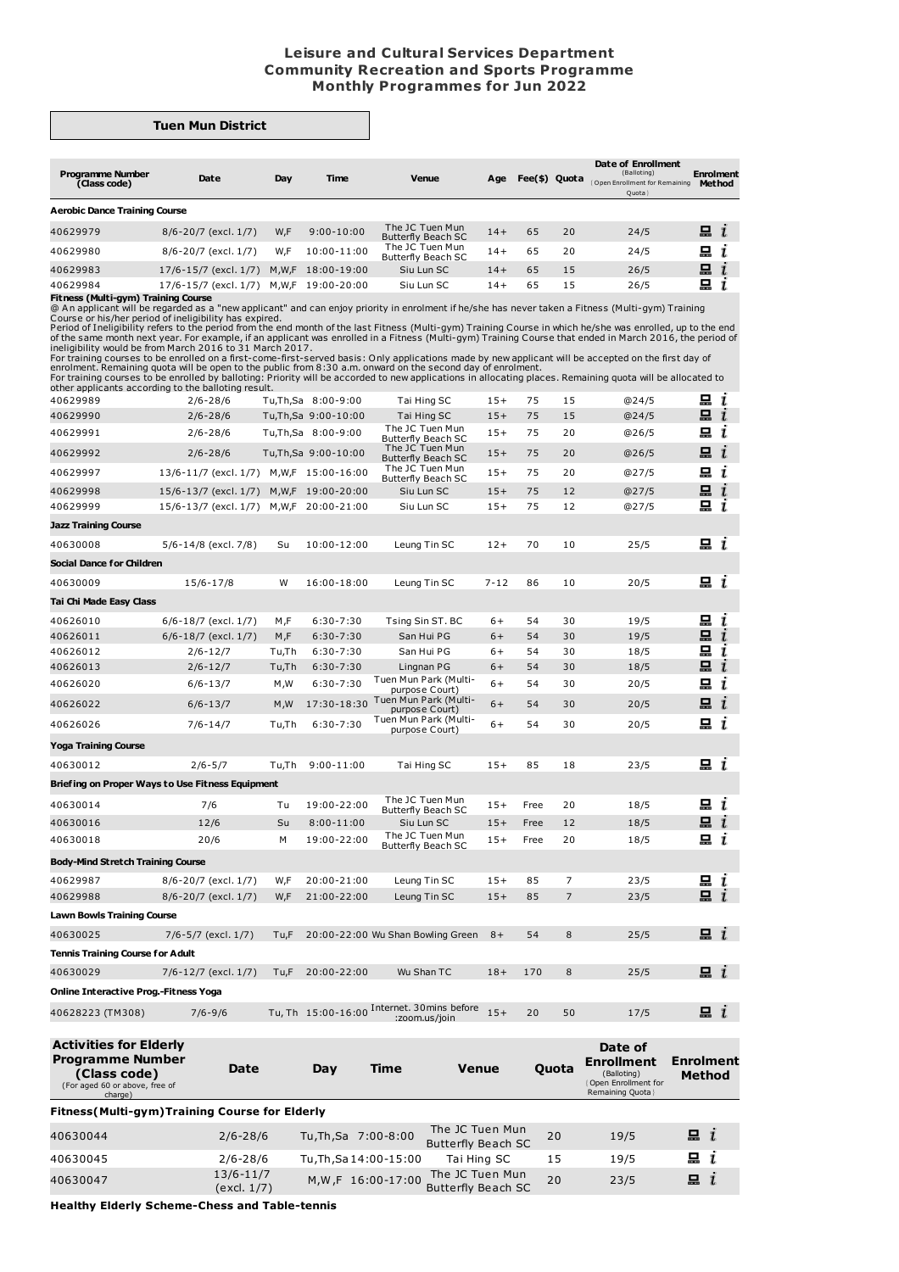## **Leisure and Cultural Services Department Community Recreation and Sports Programme Monthly Programmes for Jun 2022**

## **Tuen Mun District**

| <b>Programme Number</b><br>(Class code)<br><b>Aerobic Dance Training Course</b> | Date                         | Day     | <b>Time</b>    | Venue                                        | Age   | Fee(\$) Quota |    | Date of Enrollment<br>(Balloting)<br>Open Enrollment for Remaining<br>Quota | <b>Enrolment</b><br><b>Method</b> |
|---------------------------------------------------------------------------------|------------------------------|---------|----------------|----------------------------------------------|-------|---------------|----|-----------------------------------------------------------------------------|-----------------------------------|
| 40629979                                                                        | 8/6-20/7 (excl. 1/7)         | W,F     | $9:00 - 10:00$ | The JC Tuen Mun<br><b>Butterfly Beach SC</b> | $14+$ | 65            | 20 | 24/5                                                                        | $\blacksquare$ $i$                |
| 40629980                                                                        | 8/6-20/7 (excl. 1/7)         | W.F     | 10:00-11:00    | The JC Tuen Mun<br><b>Butterfly Beach SC</b> | $14+$ | 65            | 20 | 24/5                                                                        | u i                               |
| 40629983                                                                        | $17/6 - 15/7$ (excl. $1/7$ ) | M, W, F | 18:00-19:00    | Siu Lun SC                                   | $14+$ | 65            | 15 | 26/5                                                                        | 묘                                 |
| 40629984                                                                        | 17/6-15/7 (excl. 1/7)        | M.W.F   | 19:00-20:00    | Siu Lun SC                                   | 14+   | 65            | 15 | 26/5                                                                        | 묘                                 |

**Fitness (Multi-gym) Training Course**<br>
@An applicant will be regarded as a "new applicant" and can enjoy priority in enrolment if he/she has never taken a Fitness (Multi-gym) Training<br>
@An applicant will be regarded as a "

| <b>Programme Number</b>                          |                                           |       |                       | $V_{\mathbf{a}}$ nua                                        |          |      | $0 \cdot 0$    | Date of<br>Enrollment | <b>Enrolment</b>             |  |
|--------------------------------------------------|-------------------------------------------|-------|-----------------------|-------------------------------------------------------------|----------|------|----------------|-----------------------|------------------------------|--|
| <b>Activities for Elderly</b>                    |                                           |       |                       |                                                             |          |      |                |                       |                              |  |
| 40628223 (TM308)                                 | $7/6 - 9/6$                               |       |                       | Tu, Th 15:00-16:00 Internet. 30mins before<br>:zoom.us/join | $15+$    | 20   | 50             | 17/5                  | $\mathbf{a}$ i               |  |
|                                                  | Online Interactive Prog.-Fitness Yoga     |       |                       |                                                             |          |      |                |                       |                              |  |
| 40630029                                         | 7/6-12/7 (excl. 1/7)                      | Tu,F  | 20:00-22:00           | Wu Shan TC                                                  | $18+$    | 170  | 8              | 25/5                  | 묘 $i$                        |  |
| <b>Tennis Training Course for Adult</b>          |                                           |       |                       |                                                             |          |      |                |                       |                              |  |
| 40630025                                         | 7/6-5/7 (excl. 1/7)                       | Tu,F  |                       | 20:00-22:00 Wu Shan Bowling Green                           | $8+$     | 54   | 8              | 25/5                  | $\Box$ $i$                   |  |
| <b>Lawn Bowls Training Course</b>                |                                           |       |                       |                                                             |          |      |                |                       |                              |  |
| 40629988                                         | 8/6-20/7 (excl. 1/7)                      | W,F   | 21:00-22:00           | Leung Tin SC                                                | $15+$    | 85   | $\overline{7}$ | 23/5                  | 묘<br>L                       |  |
| 40629987                                         | 8/6-20/7 (excl. 1/7)                      | W,F   | 20:00-21:00           | Leung Tin SC                                                | $15+$    | 85   | $\overline{7}$ | 23/5                  | 묘<br>ι                       |  |
| <b>Body-Mind Stretch Training Course</b>         |                                           |       |                       |                                                             |          |      |                |                       |                              |  |
|                                                  |                                           |       |                       | <b>Butterfly Beach SC</b>                                   |          |      |                |                       |                              |  |
| 40630018                                         | 20/6                                      | M     | 19:00-22:00           | The JC Tuen Mun                                             | $15+$    | Free | 20             | 18/5                  | 묘 $i$                        |  |
| 40630016                                         | 12/6                                      | Su    | $8:00 - 11:00$        | <b>Butterfly Beach SC</b><br>Siu Lun SC                     | $15+$    | Free | 12             | 18/5                  | шi                           |  |
| 40630014                                         | 7/6                                       | Tu    | 19:00-22:00           | The JC Tuen Mun                                             | $15+$    | Free | 20             | 18/5                  | $\Xi$ $i$                    |  |
| Briefing on Proper Ways to Use Fitness Equipment |                                           |       |                       |                                                             |          |      |                |                       |                              |  |
| 40630012                                         | $2/6 - 5/7$                               | Tu,Th | $9:00 - 11:00$        | Tai Hing SC                                                 | $15+$    | 85   | 18             | 23/5                  | u i                          |  |
| <b>Yoga Training Course</b>                      |                                           |       |                       |                                                             |          |      |                |                       |                              |  |
| 40626026                                         | $7/6 - 14/7$                              | Tu,Th | $6:30 - 7:30$         | Tuen Mun Park (Multi-<br>purpose Court)                     | $6+$     | 54   | 30             | 20/5                  | 묘<br>ī                       |  |
| 40626022                                         | $6/6 - 13/7$                              | M, W  | 17:30-18:30           | Tuen Mun Park (Multi-<br>purpose Court)                     | $6+$     | 54   | 30             | 20/5                  | 묘<br>ī                       |  |
| 40626020                                         | 6/6-13/7                                  | M, W  | $6:30 - 7:30$         | purpose Court)                                              | $6+$     | 54   | 30             | 20/5                  | 묘<br>ī                       |  |
| 40626013                                         | $2/6 - 12/7$                              | Tu,Th | $6:30 - 7:30$         | Lingnan PG<br>Tuen Mun Park (Multi-                         | $6+$     | 54   | 30             | 18/5                  | 묘<br>$\overline{\mathbf{r}}$ |  |
| 40626012                                         | $2/6 - 12/7$                              | Tu,Th | $6:30 - 7:30$         | San Hui PG                                                  | $6+$     | 54   | 30             | 18/5                  | 묘<br>ı                       |  |
| 40626011                                         | 6/6-18/7 (excl. 1/7)                      | M,F   | $6:30 - 7:30$         | San Hui PG                                                  | $6+$     | 54   | 30             | 19/5                  | 묘<br>$\mathbf{I}$            |  |
| 40626010                                         | 6/6-18/7 (excl. 1/7)                      | M,F   | $6:30 - 7:30$         | Tsing Sin ST. BC                                            | $6+$     | 54   | 30             | 19/5                  | 묘<br>ı                       |  |
| Tai Chi Made Easy Class                          |                                           |       |                       |                                                             |          |      |                |                       |                              |  |
| 40630009                                         | $15/6 - 17/8$                             | W     | 16:00-18:00           | Leung Tin SC                                                | $7 - 12$ | 86   | 10             | 20/5                  | 묘 <i>ι</i>                   |  |
| Social Dance for Children                        |                                           |       |                       |                                                             |          |      |                |                       |                              |  |
| 40630008                                         | 5/6-14/8 (excl. 7/8)                      | Su    | 10:00-12:00           | Leung Tin SC                                                | $12+$    | 70   | 10             | 25/5                  | 묘 <i>ι</i>                   |  |
| <b>Jazz Training Course</b>                      |                                           |       |                       |                                                             |          |      |                |                       |                              |  |
| 40629999                                         | 15/6-13/7 (excl. 1/7)                     | M,W,F | 20:00-21:00           | Siu Lun SC                                                  | $15+$    | 75   | 12             | @27/5                 | 묘<br>ī                       |  |
| 40629998                                         | 15/6-13/7 (excl. 1/7)                     |       | M, W, F 19:00-20:00   | Siu Lun SC                                                  | $15+$    | 75   | 12             | @27/5                 | 묘<br>i                       |  |
| 40629997                                         | 13/6-11/7 (excl. 1/7) M, W, F 15:00-16:00 |       |                       | The JC Tuen Mun<br>Butterfly Beach SC                       | $15+$    | 75   | 20             | @27/5                 | i<br>묘                       |  |
| 40629992                                         | $2/6 - 28/6$                              |       | Tu, Th, Sa 9:00-10:00 | The JC Tuen Mun<br><b>Butterfly Beach SC</b>                | $15+$    | 75   | 20             | @26/5                 | 昷<br>$\mathbf{r}$            |  |
| 40629991                                         | $2/6 - 28/6$                              |       | Tu,Th,Sa 8:00-9:00    | The JC Tuen Mun<br><b>Butterfly Beach SC</b>                | $15+$    | 75   | 20             | @26/5                 | 묘<br>ı                       |  |
| 40629990                                         | $2/6 - 28/6$                              |       | Tu, Th, Sa 9:00-10:00 | Tai Hing SC                                                 | $15+$    | 75   | 15             | @24/5                 | 묘<br>$\mathbf{r}$            |  |
| 40629989                                         | $2/6 - 28/6$                              |       | Tu,Th,Sa 8:00-9:00    | Tai Hing SC                                                 | $15+$    | 75   | 15             | @24/5                 | 묘<br>$\mathbf{I}$            |  |

| (Class code)<br>(For aged 60 or above, free of<br>charge) | Date                         | Dav | Time                   | <b>Venue</b>                          | Quota | enroument<br>(Balloting)<br>Open Enrollment for<br>Remaining Quota } | енюшен<br><b>Method</b> |
|-----------------------------------------------------------|------------------------------|-----|------------------------|---------------------------------------|-------|----------------------------------------------------------------------|-------------------------|
| Fitness(Multi-gym)Training Course for Elderly             |                              |     |                        |                                       |       |                                                                      |                         |
| 40630044                                                  | $2/6 - 28/6$                 |     | Tu, Th, Sa 7:00-8:00   | The JC Tuen Mun<br>Butterfly Beach SC | 20    | 19/5                                                                 | i                       |
| 40630045                                                  | $2/6 - 28/6$                 |     | Tu, Th, Sa 14:00-15:00 | Tai Hing SC                           | 15    | 19/5                                                                 | i                       |
| 40630047                                                  | $13/6 - 11/7$<br>(excl. 1/7) |     | M,W,F 16:00-17:00      | The JC Tuen Mun<br>Butterfly Beach SC | 20    | 23/5                                                                 | i                       |

**Healthy Elderly Scheme-Chess and Table-tennis**